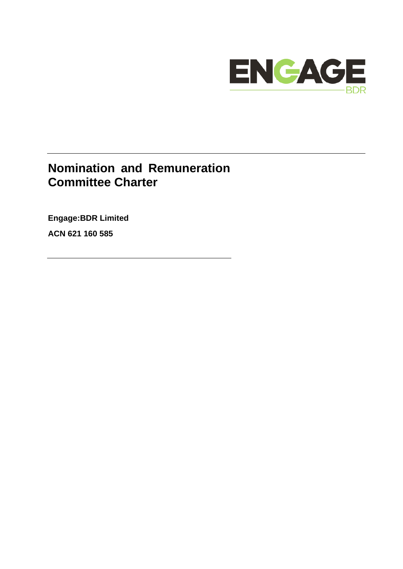

# **Nomination and Remuneration Committee Charter**

**Engage:BDR Limited**

**ACN 621 160 585**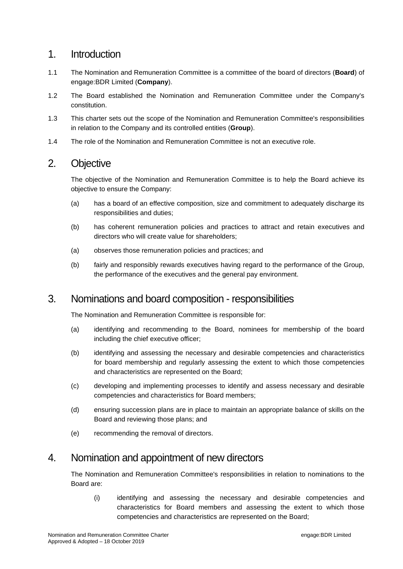#### 1. Introduction

- 1.1 The Nomination and Remuneration Committee is a committee of the board of directors (**Board**) of engage:BDR Limited (**Company**).
- 1.2 The Board established the Nomination and Remuneration Committee under the Company's constitution.
- 1.3 This charter sets out the scope of the Nomination and Remuneration Committee's responsibilities in relation to the Company and its controlled entities (**Group**).
- 1.4 The role of the Nomination and Remuneration Committee is not an executive role.

# 2. Objective

The objective of the Nomination and Remuneration Committee is to help the Board achieve its objective to ensure the Company:

- (a) has a board of an effective composition, size and commitment to adequately discharge its responsibilities and duties;
- (b) has coherent remuneration policies and practices to attract and retain executives and directors who will create value for shareholders;
- (a) observes those remuneration policies and practices; and
- (b) fairly and responsibly rewards executives having regard to the performance of the Group, the performance of the executives and the general pay environment.

#### 3. Nominations and board composition - responsibilities

The Nomination and Remuneration Committee is responsible for:

- (a) identifying and recommending to the Board, nominees for membership of the board including the chief executive officer;
- (b) identifying and assessing the necessary and desirable competencies and characteristics for board membership and regularly assessing the extent to which those competencies and characteristics are represented on the Board;
- (c) developing and implementing processes to identify and assess necessary and desirable competencies and characteristics for Board members;
- (d) ensuring succession plans are in place to maintain an appropriate balance of skills on the Board and reviewing those plans; and
- (e) recommending the removal of directors.

#### 4. Nomination and appointment of new directors

The Nomination and Remuneration Committee's responsibilities in relation to nominations to the Board are:

(i) identifying and assessing the necessary and desirable competencies and characteristics for Board members and assessing the extent to which those competencies and characteristics are represented on the Board;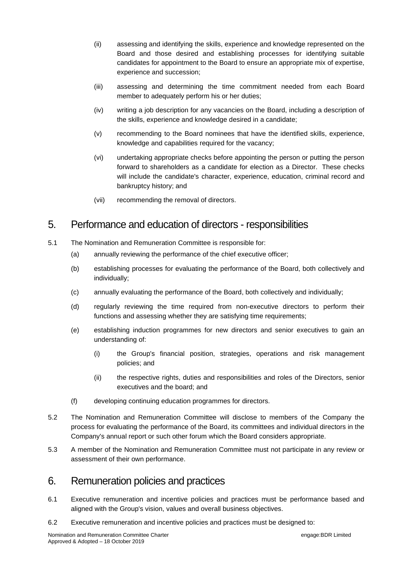- (ii) assessing and identifying the skills, experience and knowledge represented on the Board and those desired and establishing processes for identifying suitable candidates for appointment to the Board to ensure an appropriate mix of expertise, experience and succession;
- (iii) assessing and determining the time commitment needed from each Board member to adequately perform his or her duties;
- (iv) writing a job description for any vacancies on the Board, including a description of the skills, experience and knowledge desired in a candidate;
- (v) recommending to the Board nominees that have the identified skills, experience, knowledge and capabilities required for the vacancy;
- (vi) undertaking appropriate checks before appointing the person or putting the person forward to shareholders as a candidate for election as a Director. These checks will include the candidate's character, experience, education, criminal record and bankruptcy history; and
- (vii) recommending the removal of directors.

### 5. Performance and education of directors - responsibilities

- 5.1 The Nomination and Remuneration Committee is responsible for:
	- (a) annually reviewing the performance of the chief executive officer;
	- (b) establishing processes for evaluating the performance of the Board, both collectively and individually;
	- (c) annually evaluating the performance of the Board, both collectively and individually;
	- (d) regularly reviewing the time required from non-executive directors to perform their functions and assessing whether they are satisfying time requirements;
	- (e) establishing induction programmes for new directors and senior executives to gain an understanding of:
		- (i) the Group's financial position, strategies, operations and risk management policies; and
		- (ii) the respective rights, duties and responsibilities and roles of the Directors, senior executives and the board; and
	- (f) developing continuing education programmes for directors.
- 5.2 The Nomination and Remuneration Committee will disclose to members of the Company the process for evaluating the performance of the Board, its committees and individual directors in the Company's annual report or such other forum which the Board considers appropriate.
- 5.3 A member of the Nomination and Remuneration Committee must not participate in any review or assessment of their own performance.

# 6. Remuneration policies and practices

- 6.1 Executive remuneration and incentive policies and practices must be performance based and aligned with the Group's vision, values and overall business objectives.
- 6.2 Executive remuneration and incentive policies and practices must be designed to: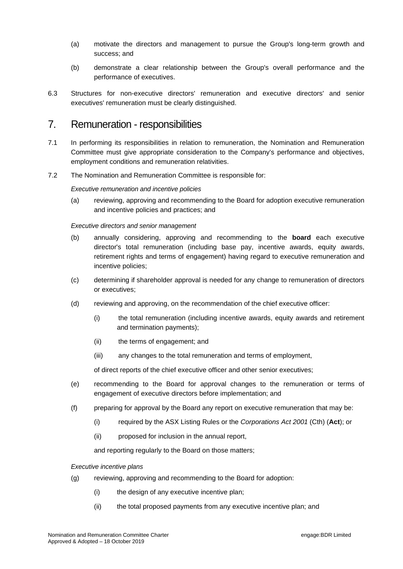- (a) motivate the directors and management to pursue the Group's long-term growth and success; and
- (b) demonstrate a clear relationship between the Group's overall performance and the performance of executives.
- 6.3 Structures for non-executive directors' remuneration and executive directors' and senior executives' remuneration must be clearly distinguished.

#### 7. Remuneration - responsibilities

- 7.1 In performing its responsibilities in relation to remuneration, the Nomination and Remuneration Committee must give appropriate consideration to the Company's performance and objectives, employment conditions and remuneration relativities.
- 7.2 The Nomination and Remuneration Committee is responsible for:

*Executive remuneration and incentive policies*

(a) reviewing, approving and recommending to the Board for adoption executive remuneration and incentive policies and practices; and

#### *Executive directors and senior management*

- (b) annually considering, approving and recommending to the **board** each executive director's total remuneration (including base pay, incentive awards, equity awards, retirement rights and terms of engagement) having regard to executive remuneration and incentive policies;
- (c) determining if shareholder approval is needed for any change to remuneration of directors or executives;
- (d) reviewing and approving, on the recommendation of the chief executive officer:
	- (i) the total remuneration (including incentive awards, equity awards and retirement and termination payments);
	- (ii) the terms of engagement; and
	- (iii) any changes to the total remuneration and terms of employment,

of direct reports of the chief executive officer and other senior executives;

- (e) recommending to the Board for approval changes to the remuneration or terms of engagement of executive directors before implementation; and
- (f) preparing for approval by the Board any report on executive remuneration that may be:
	- (i) required by the ASX Listing Rules or the *Corporations Act 2001* (Cth) (**Act**); or
	- (ii) proposed for inclusion in the annual report,

and reporting regularly to the Board on those matters;

#### *Executive incentive plans*

- (g) reviewing, approving and recommending to the Board for adoption:
	- (i) the design of any executive incentive plan;
	- (ii) the total proposed payments from any executive incentive plan; and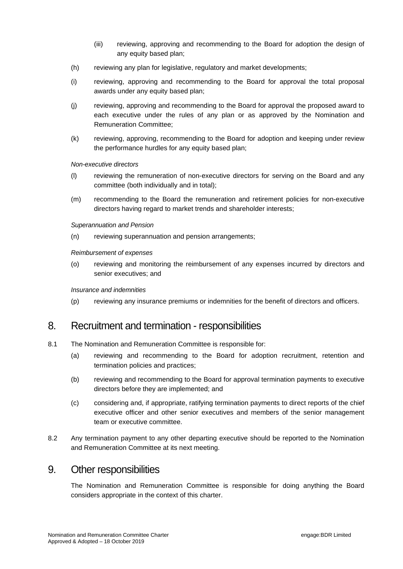- (iii) reviewing, approving and recommending to the Board for adoption the design of any equity based plan;
- (h) reviewing any plan for legislative, regulatory and market developments;
- (i) reviewing, approving and recommending to the Board for approval the total proposal awards under any equity based plan;
- (j) reviewing, approving and recommending to the Board for approval the proposed award to each executive under the rules of any plan or as approved by the Nomination and Remuneration Committee;
- (k) reviewing, approving, recommending to the Board for adoption and keeping under review the performance hurdles for any equity based plan;

*Non-executive directors*

- (l) reviewing the remuneration of non-executive directors for serving on the Board and any committee (both individually and in total);
- (m) recommending to the Board the remuneration and retirement policies for non-executive directors having regard to market trends and shareholder interests;

*Superannuation and Pension*

(n) reviewing superannuation and pension arrangements;

*Reimbursement of expenses*

(o) reviewing and monitoring the reimbursement of any expenses incurred by directors and senior executives; and

*Insurance and indemnities*

(p) reviewing any insurance premiums or indemnities for the benefit of directors and officers.

#### 8. Recruitment and termination - responsibilities

- 8.1 The Nomination and Remuneration Committee is responsible for:
	- (a) reviewing and recommending to the Board for adoption recruitment, retention and termination policies and practices;
	- (b) reviewing and recommending to the Board for approval termination payments to executive directors before they are implemented; and
	- (c) considering and, if appropriate, ratifying termination payments to direct reports of the chief executive officer and other senior executives and members of the senior management team or executive committee.
- 8.2 Any termination payment to any other departing executive should be reported to the Nomination and Remuneration Committee at its next meeting.

#### 9. Other responsibilities

The Nomination and Remuneration Committee is responsible for doing anything the Board considers appropriate in the context of this charter.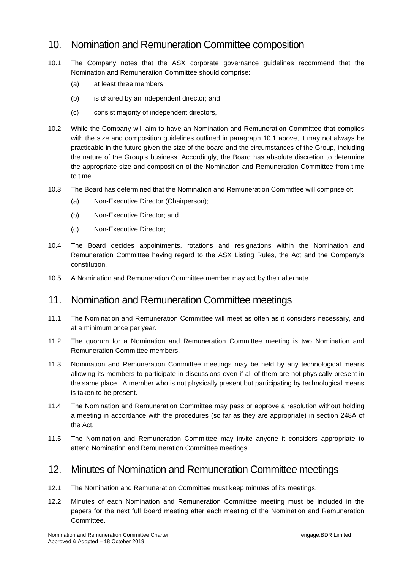# 10. Nomination and Remuneration Committee composition

- <span id="page-5-0"></span>10.1 The Company notes that the ASX corporate governance guidelines recommend that the Nomination and Remuneration Committee should comprise:
	- (a) at least three members;
	- (b) is chaired by an independent director; and
	- (c) consist majority of independent directors,
- 10.2 While the Company will aim to have an Nomination and Remuneration Committee that complies with the size and composition guidelines outlined in paragraph [10.1](#page-5-0) above, it may not always be practicable in the future given the size of the board and the circumstances of the Group, including the nature of the Group's business. Accordingly, the Board has absolute discretion to determine the appropriate size and composition of the Nomination and Remuneration Committee from time to time.
- 10.3 The Board has determined that the Nomination and Remuneration Committee will comprise of:
	- (a) Non-Executive Director (Chairperson);
	- (b) Non-Executive Director; and
	- (c) Non-Executive Director;
- 10.4 The Board decides appointments, rotations and resignations within the Nomination and Remuneration Committee having regard to the ASX Listing Rules, the Act and the Company's constitution.
- 10.5 A Nomination and Remuneration Committee member may act by their alternate.

# 11. Nomination and Remuneration Committee meetings

- 11.1 The Nomination and Remuneration Committee will meet as often as it considers necessary, and at a minimum once per year.
- 11.2 The quorum for a Nomination and Remuneration Committee meeting is two Nomination and Remuneration Committee members.
- 11.3 Nomination and Remuneration Committee meetings may be held by any technological means allowing its members to participate in discussions even if all of them are not physically present in the same place. A member who is not physically present but participating by technological means is taken to be present.
- 11.4 The Nomination and Remuneration Committee may pass or approve a resolution without holding a meeting in accordance with the procedures (so far as they are appropriate) in section 248A of the Act.
- 11.5 The Nomination and Remuneration Committee may invite anyone it considers appropriate to attend Nomination and Remuneration Committee meetings.

# 12. Minutes of Nomination and Remuneration Committee meetings

- 12.1 The Nomination and Remuneration Committee must keep minutes of its meetings.
- 12.2 Minutes of each Nomination and Remuneration Committee meeting must be included in the papers for the next full Board meeting after each meeting of the Nomination and Remuneration Committee.